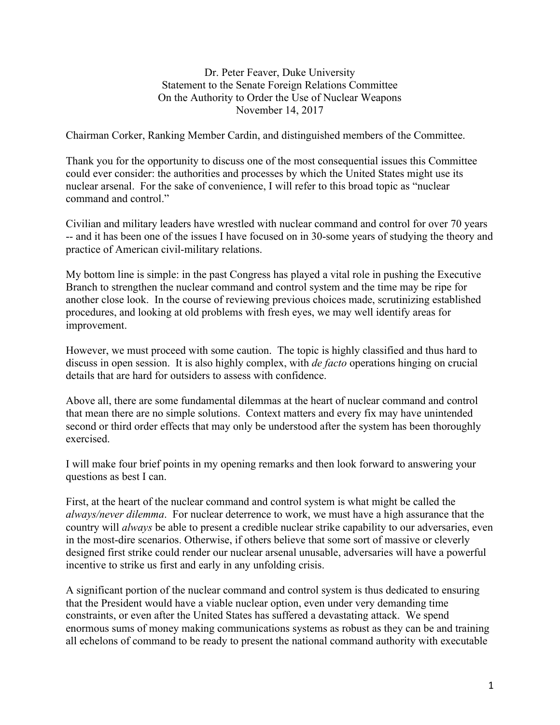Dr. Peter Feaver, Duke University Statement to the Senate Foreign Relations Committee On the Authority to Order the Use of Nuclear Weapons November 14, 2017

Chairman Corker, Ranking Member Cardin, and distinguished members of the Committee.

Thank you for the opportunity to discuss one of the most consequential issues this Committee could ever consider: the authorities and processes by which the United States might use its nuclear arsenal. For the sake of convenience, I will refer to this broad topic as "nuclear command and control."

Civilian and military leaders have wrestled with nuclear command and control for over 70 years -- and it has been one of the issues I have focused on in 30-some years of studying the theory and practice of American civil-military relations.

My bottom line is simple: in the past Congress has played a vital role in pushing the Executive Branch to strengthen the nuclear command and control system and the time may be ripe for another close look. In the course of reviewing previous choices made, scrutinizing established procedures, and looking at old problems with fresh eyes, we may well identify areas for improvement.

However, we must proceed with some caution. The topic is highly classified and thus hard to discuss in open session. It is also highly complex, with *de facto* operations hinging on crucial details that are hard for outsiders to assess with confidence.

Above all, there are some fundamental dilemmas at the heart of nuclear command and control that mean there are no simple solutions. Context matters and every fix may have unintended second or third order effects that may only be understood after the system has been thoroughly exercised.

I will make four brief points in my opening remarks and then look forward to answering your questions as best I can.

First, at the heart of the nuclear command and control system is what might be called the *always/never dilemma*. For nuclear deterrence to work, we must have a high assurance that the country will *always* be able to present a credible nuclear strike capability to our adversaries, even in the most-dire scenarios. Otherwise, if others believe that some sort of massive or cleverly designed first strike could render our nuclear arsenal unusable, adversaries will have a powerful incentive to strike us first and early in any unfolding crisis.

A significant portion of the nuclear command and control system is thus dedicated to ensuring that the President would have a viable nuclear option, even under very demanding time constraints, or even after the United States has suffered a devastating attack. We spend enormous sums of money making communications systems as robust as they can be and training all echelons of command to be ready to present the national command authority with executable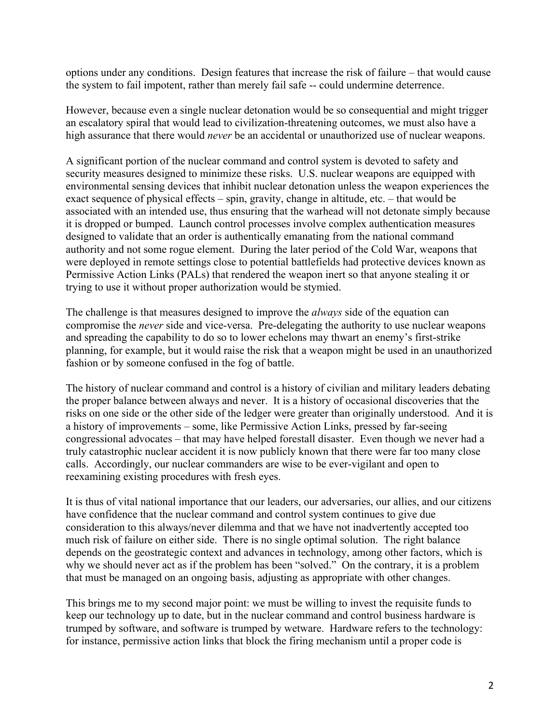options under any conditions. Design features that increase the risk of failure – that would cause the system to fail impotent, rather than merely fail safe -- could undermine deterrence.

However, because even a single nuclear detonation would be so consequential and might trigger an escalatory spiral that would lead to civilization-threatening outcomes, we must also have a high assurance that there would *never* be an accidental or unauthorized use of nuclear weapons.

A significant portion of the nuclear command and control system is devoted to safety and security measures designed to minimize these risks. U.S. nuclear weapons are equipped with environmental sensing devices that inhibit nuclear detonation unless the weapon experiences the exact sequence of physical effects – spin, gravity, change in altitude, etc. – that would be associated with an intended use, thus ensuring that the warhead will not detonate simply because it is dropped or bumped. Launch control processes involve complex authentication measures designed to validate that an order is authentically emanating from the national command authority and not some rogue element. During the later period of the Cold War, weapons that were deployed in remote settings close to potential battlefields had protective devices known as Permissive Action Links (PALs) that rendered the weapon inert so that anyone stealing it or trying to use it without proper authorization would be stymied.

The challenge is that measures designed to improve the *always* side of the equation can compromise the *never* side and vice-versa. Pre-delegating the authority to use nuclear weapons and spreading the capability to do so to lower echelons may thwart an enemy's first-strike planning, for example, but it would raise the risk that a weapon might be used in an unauthorized fashion or by someone confused in the fog of battle.

The history of nuclear command and control is a history of civilian and military leaders debating the proper balance between always and never. It is a history of occasional discoveries that the risks on one side or the other side of the ledger were greater than originally understood. And it is a history of improvements – some, like Permissive Action Links, pressed by far-seeing congressional advocates – that may have helped forestall disaster. Even though we never had a truly catastrophic nuclear accident it is now publicly known that there were far too many close calls. Accordingly, our nuclear commanders are wise to be ever-vigilant and open to reexamining existing procedures with fresh eyes.

It is thus of vital national importance that our leaders, our adversaries, our allies, and our citizens have confidence that the nuclear command and control system continues to give due consideration to this always/never dilemma and that we have not inadvertently accepted too much risk of failure on either side. There is no single optimal solution. The right balance depends on the geostrategic context and advances in technology, among other factors, which is why we should never act as if the problem has been "solved." On the contrary, it is a problem that must be managed on an ongoing basis, adjusting as appropriate with other changes.

This brings me to my second major point: we must be willing to invest the requisite funds to keep our technology up to date, but in the nuclear command and control business hardware is trumped by software, and software is trumped by wetware. Hardware refers to the technology: for instance, permissive action links that block the firing mechanism until a proper code is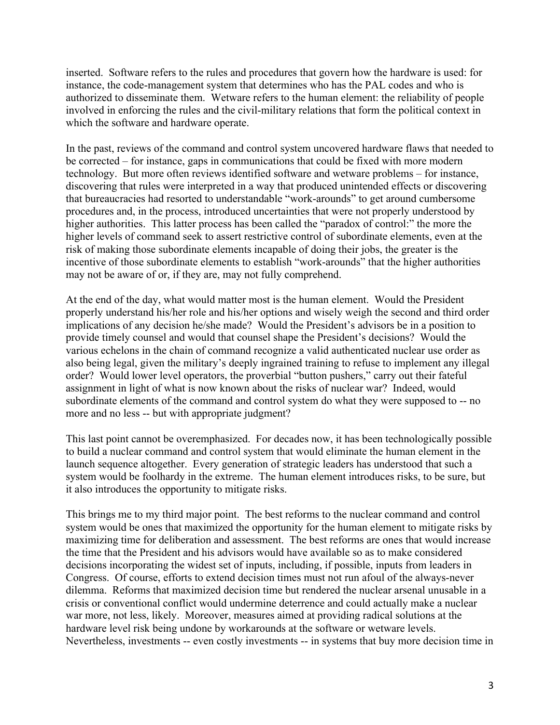inserted. Software refers to the rules and procedures that govern how the hardware is used: for instance, the code-management system that determines who has the PAL codes and who is authorized to disseminate them. Wetware refers to the human element: the reliability of people involved in enforcing the rules and the civil-military relations that form the political context in which the software and hardware operate.

In the past, reviews of the command and control system uncovered hardware flaws that needed to be corrected – for instance, gaps in communications that could be fixed with more modern technology. But more often reviews identified software and wetware problems – for instance, discovering that rules were interpreted in a way that produced unintended effects or discovering that bureaucracies had resorted to understandable "work-arounds" to get around cumbersome procedures and, in the process, introduced uncertainties that were not properly understood by higher authorities. This latter process has been called the "paradox of control:" the more the higher levels of command seek to assert restrictive control of subordinate elements, even at the risk of making those subordinate elements incapable of doing their jobs, the greater is the incentive of those subordinate elements to establish "work-arounds" that the higher authorities may not be aware of or, if they are, may not fully comprehend.

At the end of the day, what would matter most is the human element. Would the President properly understand his/her role and his/her options and wisely weigh the second and third order implications of any decision he/she made? Would the President's advisors be in a position to provide timely counsel and would that counsel shape the President's decisions? Would the various echelons in the chain of command recognize a valid authenticated nuclear use order as also being legal, given the military's deeply ingrained training to refuse to implement any illegal order? Would lower level operators, the proverbial "button pushers," carry out their fateful assignment in light of what is now known about the risks of nuclear war? Indeed, would subordinate elements of the command and control system do what they were supposed to -- no more and no less -- but with appropriate judgment?

This last point cannot be overemphasized. For decades now, it has been technologically possible to build a nuclear command and control system that would eliminate the human element in the launch sequence altogether. Every generation of strategic leaders has understood that such a system would be foolhardy in the extreme. The human element introduces risks, to be sure, but it also introduces the opportunity to mitigate risks.

This brings me to my third major point. The best reforms to the nuclear command and control system would be ones that maximized the opportunity for the human element to mitigate risks by maximizing time for deliberation and assessment. The best reforms are ones that would increase the time that the President and his advisors would have available so as to make considered decisions incorporating the widest set of inputs, including, if possible, inputs from leaders in Congress. Of course, efforts to extend decision times must not run afoul of the always-never dilemma. Reforms that maximized decision time but rendered the nuclear arsenal unusable in a crisis or conventional conflict would undermine deterrence and could actually make a nuclear war more, not less, likely. Moreover, measures aimed at providing radical solutions at the hardware level risk being undone by workarounds at the software or wetware levels. Nevertheless, investments -- even costly investments -- in systems that buy more decision time in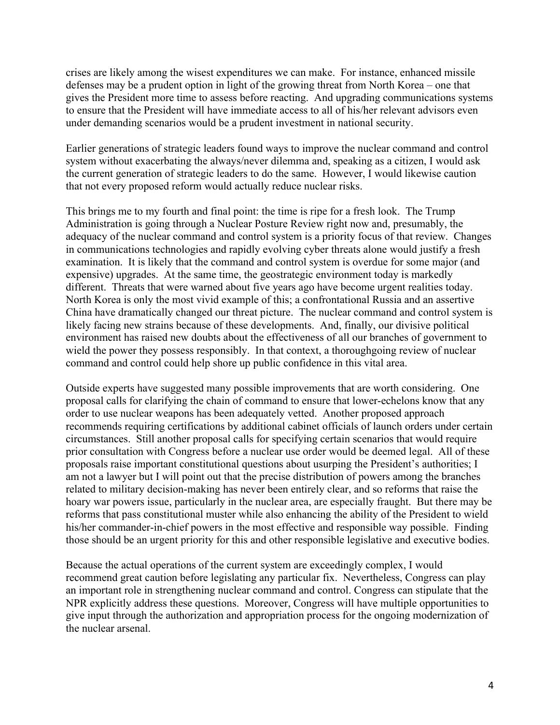crises are likely among the wisest expenditures we can make. For instance, enhanced missile defenses may be a prudent option in light of the growing threat from North Korea – one that gives the President more time to assess before reacting. And upgrading communications systems to ensure that the President will have immediate access to all of his/her relevant advisors even under demanding scenarios would be a prudent investment in national security.

Earlier generations of strategic leaders found ways to improve the nuclear command and control system without exacerbating the always/never dilemma and, speaking as a citizen, I would ask the current generation of strategic leaders to do the same. However, I would likewise caution that not every proposed reform would actually reduce nuclear risks.

This brings me to my fourth and final point: the time is ripe for a fresh look. The Trump Administration is going through a Nuclear Posture Review right now and, presumably, the adequacy of the nuclear command and control system is a priority focus of that review. Changes in communications technologies and rapidly evolving cyber threats alone would justify a fresh examination. It is likely that the command and control system is overdue for some major (and expensive) upgrades. At the same time, the geostrategic environment today is markedly different. Threats that were warned about five years ago have become urgent realities today. North Korea is only the most vivid example of this; a confrontational Russia and an assertive China have dramatically changed our threat picture. The nuclear command and control system is likely facing new strains because of these developments. And, finally, our divisive political environment has raised new doubts about the effectiveness of all our branches of government to wield the power they possess responsibly. In that context, a thoroughgoing review of nuclear command and control could help shore up public confidence in this vital area.

Outside experts have suggested many possible improvements that are worth considering. One proposal calls for clarifying the chain of command to ensure that lower-echelons know that any order to use nuclear weapons has been adequately vetted. Another proposed approach recommends requiring certifications by additional cabinet officials of launch orders under certain circumstances. Still another proposal calls for specifying certain scenarios that would require prior consultation with Congress before a nuclear use order would be deemed legal. All of these proposals raise important constitutional questions about usurping the President's authorities; I am not a lawyer but I will point out that the precise distribution of powers among the branches related to military decision-making has never been entirely clear, and so reforms that raise the hoary war powers issue, particularly in the nuclear area, are especially fraught. But there may be reforms that pass constitutional muster while also enhancing the ability of the President to wield his/her commander-in-chief powers in the most effective and responsible way possible. Finding those should be an urgent priority for this and other responsible legislative and executive bodies.

Because the actual operations of the current system are exceedingly complex, I would recommend great caution before legislating any particular fix. Nevertheless, Congress can play an important role in strengthening nuclear command and control. Congress can stipulate that the NPR explicitly address these questions. Moreover, Congress will have multiple opportunities to give input through the authorization and appropriation process for the ongoing modernization of the nuclear arsenal.